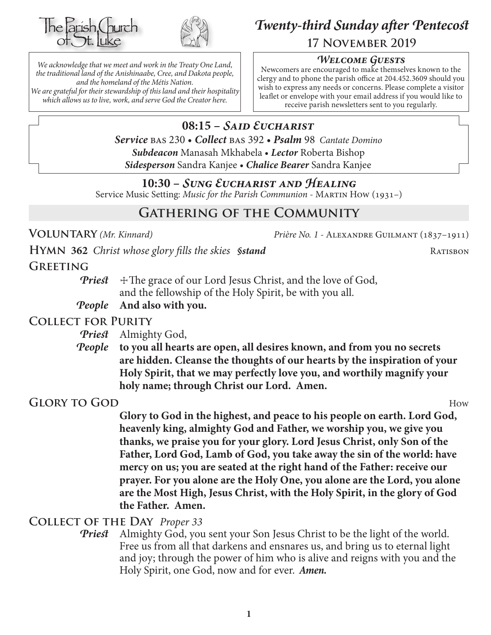



*We acknowledge that we meet and work in the Treaty One Land, the traditional land of the Anishinaabe, Cree, and Dakota people, and the homeland of the Métis Nation. We are grateful for their stewardship of this land and their hospitality which allows us to live, work, and serve God the Creator here.*

# *Twenty-third Sunday after Pentecost* **17 November 2019**

## *Welcome Guests*

Newcomers are encouraged to make themselves known to the clergy and to phone the parish office at 204.452.3609 should you wish to express any needs or concerns. Please complete a visitor leaflet or envelope with your email address if you would like to receive parish newsletters sent to you regularly.

**08:15 –** *Said Eucharist*

*Service* bas 230 • *Collect* bas 392 • *Psalm* 98 *Cantate Domino Subdeacon* Manasah Mkhabela • *Lector* Roberta Bishop *Sidesperson* Sandra Kanjee • *Chalice Bearer* Sandra Kanjee

## **10:30 –** *Sung Eucharist and Healing*

Service Music Setting: *Music for the Parish Communion* - MARTIN How (1931–)

# **Gathering of the Community**

**Voluntary** *(Mr. Kinnard) Prière No. 1 -* Alexandre Guilmant (1837–1911)

**HYMN** 362 *Christ whose glory fills the skies §stand* RATISBON

## **Greeting**

*Priest*  $\pm$  The grace of our Lord Jesus Christ, and the love of God, and the fellowship of the Holy Spirit, be with you all.

*People* **And also with you.**

## **Collect for Purity**

- *Priest* Almighty God,
- *People* **to you all hearts are open, all desires known, and from you no secrets are hidden. Cleanse the thoughts of our hearts by the inspiration of your Holy Spirit, that we may perfectly love you, and worthily magnify your holy name; through Christ our Lord. Amen.**

**Glory to God** How

**Glory to God in the highest, and peace to his people on earth. Lord God, heavenly king, almighty God and Father, we worship you, we give you thanks, we praise you for your glory. Lord Jesus Christ, only Son of the Father, Lord God, Lamb of God, you take away the sin of the world: have mercy on us; you are seated at the right hand of the Father: receive our prayer. For you alone are the Holy One, you alone are the Lord, you alone are the Most High, Jesus Christ, with the Holy Spirit, in the glory of God the Father. Amen.**

## **Collect of the Day** *Proper 33*

*Priest* Almighty God, you sent your Son Jesus Christ to be the light of the world. Free us from all that darkens and ensnares us, and bring us to eternal light and joy; through the power of him who is alive and reigns with you and the Holy Spirit, one God, now and for ever.*Amen.*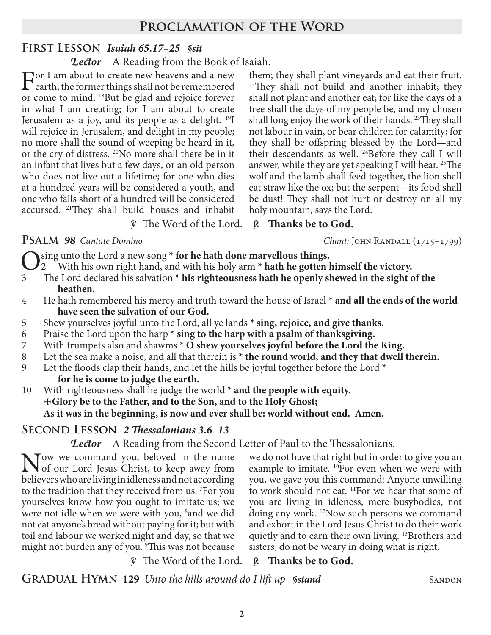## **Proclamation of the Word**

#### **First Lesson** *Isaiah 65.17–25 §sit*

*Lector* A Reading from the Book of Isaiah.

 $\Gamma_{\text{earth}}$ ; the former things shall not be remembered<br>or game to mind,  $^{18}$ Put be also and minics former or come to mind. 18But be glad and rejoice forever in what I am creating; for I am about to create Jerusalem as a joy, and its people as a delight. 19I will rejoice in Jerusalem, and delight in my people; no more shall the sound of weeping be heard in it, or the cry of distress. 20No more shall there be in it an infant that lives but a few days, or an old person who does not live out a lifetime; for one who dies at a hundred years will be considered a youth, and one who falls short of a hundred will be considered accursed. 21They shall build houses and inhabit

them; they shall plant vineyards and eat their fruit. <sup>22</sup>They shall not build and another inhabit; they shall not plant and another eat; for like the days of a tree shall the days of my people be, and my chosen shall long enjoy the work of their hands. 23They shall not labour in vain, or bear children for calamity; for they shall be offspring blessed by the Lord—and their descendants as well. 24Before they call I will answer, while they are yet speaking I will hear. 25The wolf and the lamb shall feed together, the lion shall eat straw like the ox; but the serpent—its food shall be dust! They shall not hurt or destroy on all my holy mountain, says the Lord.

℣ The Word of the Lord. ℟ **Thanks be to God.**

#### **PSALM 98** Cantate Domino *Chant:* JOHN RANDALL (1715–1799)

- O sing unto the Lord a new song \* **for he hath done marvellous things.**<br>2 With his own right hand, and with his holy arm \* **hath he gotten** l<br>3 The Lord declared his salvation \* **his righteousness hath he openly s** 2 With his own right hand, and with his holy arm **\* hath he gotten himself the victory.**
- 3 The Lord declared his salvation **\* his righteousness hath he openly shewed in the sight of the heathen.**
- 4 He hath remembered his mercy and truth toward the house of Israel **\* and all the ends of the world have seen the salvation of our God.**
- 5 Shew yourselves joyful unto the Lord, all ye lands **\* sing, rejoice, and give thanks.**
- 6 Praise the Lord upon the harp **\* sing to the harp with a psalm of thanksgiving.**
- 7 With trumpets also and shawms **\* O shew yourselves joyful before the Lord the King.**
- 8 Let the sea make a noise, and all that therein is  $*$  **the round world, and they that dwell therein.**<br>9 Let the floods clap their hands, and let the hills be joyful together before the Lord  $*$
- 9 Let the floods clap their hands, and let the hills be joyful together before the Lord **\* for he is come to judge the earth.**
- 10 With righteousness shall he judge the world **\* and the people with equity.** ☩**Glory be to the Father, and to the Son, and to the Holy Ghost; As it was in the beginning, is now and ever shall be: world without end. Amen.**

## **Second Lesson** *2 Thessalonians 3.6–13*

*Lector* A Reading from the Second Letter of Paul to the Thessalonians.

Now we command you, beloved in the name<br>of our Lord Jesus Christ, to keep away from believers who are living in idleness and not according to the tradition that they received from us. 7 For you yourselves know how you ought to imitate us; we were not idle when we were with you, <sup>8</sup> and we did not eat anyone's bread without paying for it; but with toil and labour we worked night and day, so that we might not burden any of you. 9 This was not because we do not have that right but in order to give you an example to imitate. <sup>10</sup>For even when we were with you, we gave you this command: Anyone unwilling to work should not eat. <sup>11</sup>For we hear that some of you are living in idleness, mere busybodies, not doing any work. 12Now such persons we command and exhort in the Lord Jesus Christ to do their work quietly and to earn their own living. 13Brothers and sisters, do not be weary in doing what is right.

℣ The Word of the Lord. ℟ **Thanks be to God.**

**GRADUAL HYMN 129** *Unto the hills around do I lift up <i>Sstand* SANDON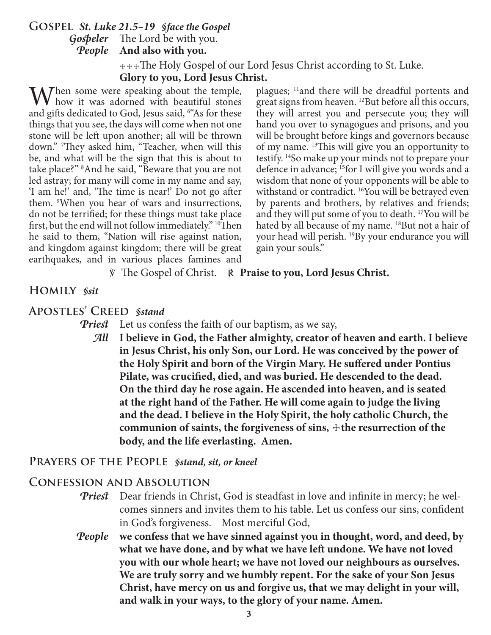#### **Gospel** *St. Luke 21.5–19 §face the Gospel Gospeler* The Lord be with you. *People* **And also with you.**

 ☩☩☩The Holy Gospel of our Lord Jesus Christ according to St. Luke. **Glory to you, Lord Jesus Christ.**

When some were speaking about the temple,<br>
and  $\pi$  if was adorned with beautiful stones and gifts dedicated to God, Jesus said, 6 "As for these things that you see, the days will come when not one stone will be left upon another; all will be thrown down." 7 They asked him, "Teacher, when will this be, and what will be the sign that this is about to take place?" 8 And he said, "Beware that you are not led astray; for many will come in my name and say, 'I am he!' and, 'The time is near!' Do not go after them. 9 When you hear of wars and insurrections, do not be terrified; for these things must take place first, but the end will not follow immediately." <sup>10</sup>Then he said to them, "Nation will rise against nation, and kingdom against kingdom; there will be great earthquakes, and in various places famines and

plagues; 11and there will be dreadful portents and great signs from heaven. 12But before all this occurs, they will arrest you and persecute you; they will hand you over to synagogues and prisons, and you will be brought before kings and governors because of my name. 13This will give you an opportunity to testify. 14So make up your minds not to prepare your defence in advance; <sup>15</sup>for I will give you words and a wisdom that none of your opponents will be able to withstand or contradict. <sup>16</sup>You will be betrayed even by parents and brothers, by relatives and friends; and they will put some of you to death. 17You will be hated by all because of my name. <sup>18</sup>But not a hair of your head will perish. 19By your endurance you will gain your souls."

℣ The Gospel of Christ. ℟ **Praise to you, Lord Jesus Christ.**

## **Homily** *§sit*

**Apostles' Creed** *§stand*

*Priest* Let us confess the faith of our baptism, as we say,

*All* **I believe in God, the Father almighty, creator of heaven and earth. I believe in Jesus Christ, his only Son, our Lord. He was conceived by the power of the Holy Spirit and born of the Virgin Mary. He suffered under Pontius Pilate, was crucified, died, and was buried. He descended to the dead. On the third day he rose again. He ascended into heaven, and is seated at the right hand of the Father. He will come again to judge the living and the dead. I believe in the Holy Spirit, the holy catholic Church, the**  communion of saints, the forgiveness of sins,  $\pm$ the resurrection of the **body, and the life everlasting. Amen.**

## **Prayers of the People** *§stand, sit, or kneel*

## **Confession and Absolution**

- *Priest* Dear friends in Christ, God is steadfast in love and infinite in mercy; he welcomes sinners and invites them to his table. Let us confess our sins, confident in God's forgiveness. Most merciful God,
- *People* **we confess that we have sinned against you in thought, word, and deed, by what we have done, and by what we have left undone. We have not loved you with our whole heart; we have not loved our neighbours as ourselves. We are truly sorry and we humbly repent. For the sake of your Son Jesus Christ, have mercy on us and forgive us, that we may delight in your will, and walk in your ways, to the glory of your name. Amen.**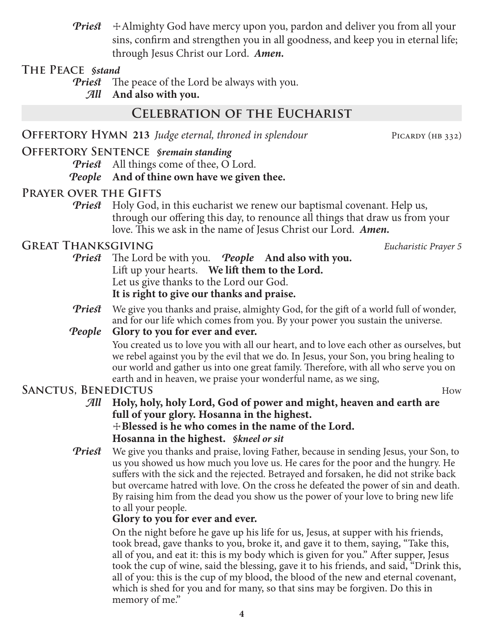*Priest*  $\div$  Almighty God have mercy upon you, pardon and deliver you from all your sins, confirm and strengthen you in all goodness, and keep you in eternal life; through Jesus Christ our Lord.*Amen.*

## **The Peace** *§stand*

*Priest* The peace of the Lord be always with you.

*All* **And also with you.**

# **Celebration of the Eucharist**

**OFFERTORY HYMN 213** *Judge eternal, throned in splendour* PICARDY (HB 332)

## **Offertory Sentence** *§remain standing*

*Priest* All things come of thee, O Lord.

## *People* **And of thine own have we given thee.**

## **Prayer over the Gifts**

*Priest* Holy God, in this eucharist we renew our baptismal covenant. Help us, through our offering this day, to renounce all things that draw us from your love. This we ask in the name of Jesus Christ our Lord. *Amen.*

## **Great Thanksgiving** *Eucharistic Prayer 5*

*Priest* The Lord be with you. *People* **And also with you.** Lift up your hearts. **We lift them to the Lord.** Let us give thanks to the Lord our God.

**It is right to give our thanks and praise.**

**Priest** We give you thanks and praise, almighty God, for the gift of a world full of wonder, and for our life which comes from you. By your power you sustain the universe.

## *People* **Glory to you for ever and ever.**

You created us to love you with all our heart, and to love each other as ourselves, but we rebel against you by the evil that we do. In Jesus, your Son, you bring healing to our world and gather us into one great family. Therefore, with all who serve you on earth and in heaven, we praise your wonderful name, as we sing,

## **SANCTUS, BENEDICTUS** How

- *All* **Holy, holy, holy Lord, God of power and might, heaven and earth are full of your glory. Hosanna in the highest.** ☩**Blessed is he who comes in the name of the Lord. Hosanna in the highest.** *§kneel or sit*
- **Priest** We give you thanks and praise, loving Father, because in sending Jesus, your Son, to us you showed us how much you love us. He cares for the poor and the hungry. He suffers with the sick and the rejected. Betrayed and forsaken, he did not strike back but overcame hatred with love. On the cross he defeated the power of sin and death. By raising him from the dead you show us the power of your love to bring new life to all your people.

## **Glory to you for ever and ever.**

On the night before he gave up his life for us, Jesus, at supper with his friends, took bread, gave thanks to you, broke it, and gave it to them, saying, "Take this, all of you, and eat it: this is my body which is given for you." After supper, Jesus took the cup of wine, said the blessing, gave it to his friends, and said, "Drink this, all of you: this is the cup of my blood, the blood of the new and eternal covenant, which is shed for you and for many, so that sins may be forgiven. Do this in memory of me."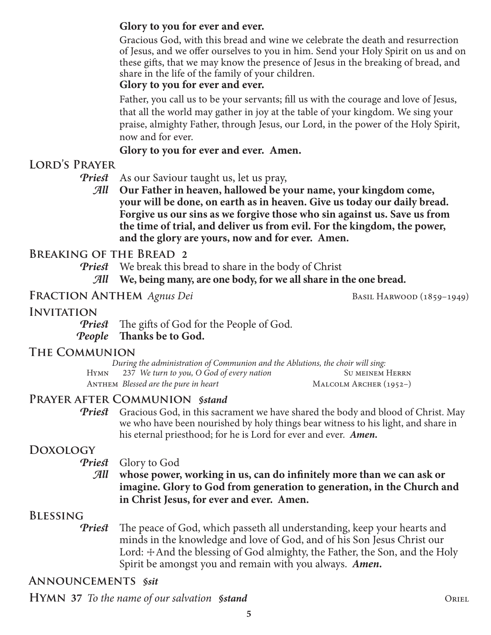## **Glory to you for ever and ever.**

Gracious God, with this bread and wine we celebrate the death and resurrection of Jesus, and we offer ourselves to you in him. Send your Holy Spirit on us and on these gifts, that we may know the presence of Jesus in the breaking of bread, and share in the life of the family of your children.

#### **Glory to you for ever and ever.**

Father, you call us to be your servants; fill us with the courage and love of Jesus, that all the world may gather in joy at the table of your kingdom. We sing your praise, almighty Father, through Jesus, our Lord, in the power of the Holy Spirit, now and for ever.

## **Glory to you for ever and ever. Amen.**

## **Lord's Prayer**

*Priest* As our Saviour taught us, let us pray,

*All* **Our Father in heaven, hallowed be your name, your kingdom come, your will be done, on earth as in heaven. Give us today our daily bread. Forgive us our sins as we forgive those who sin against us. Save us from the time of trial, and deliver us from evil. For the kingdom, the power, and the glory are yours, now and for ever. Amen.**

## **Breaking of the Bread 2**

*Priest* We break this bread to share in the body of Christ

## *All* **We, being many, are one body, for we all share in the one bread.**

**FRACTION ANTHEM** *Agnus Dei* BASIL HARWOOD (1859–1949)

## **Invitation**

*Priest* The gifts of God for the People of God. *People* **Thanks be to God.**

## **The Communion**

*During the administration of Communion and the Ablutions, the choir will sing:* HYMN 237 *We turn to you, O God of every nation* SU MEINEM HERRN ANTHEM *Blessed are the pure in heart* MALCOLM ARCHER (1952–)

## **Prayer after Communion** *§stand*

**Priest** Gracious God, in this sacrament we have shared the body and blood of Christ. May we who have been nourished by holy things bear witness to his light, and share in his eternal priesthood; for he is Lord for ever and ever. *Amen.*

## **Doxology**

*Priest* Glory to God

*All* **whose power, working in us, can do infinitely more than we can ask or imagine. Glory to God from generation to generation, in the Church and in Christ Jesus, for ever and ever. Amen.**

## **Blessing**

*Priest* The peace of God, which passeth all understanding, keep your hearts and minds in the knowledge and love of God, and of his Son Jesus Christ our Lord:  $\pm$ And the blessing of God almighty, the Father, the Son, and the Holy Spirit be amongst you and remain with you always. *Amen.*

## **Announcements** *§sit*

**HYMN** 37 To the name of our salvation *§stand* **CALC CONDUM** ORIEL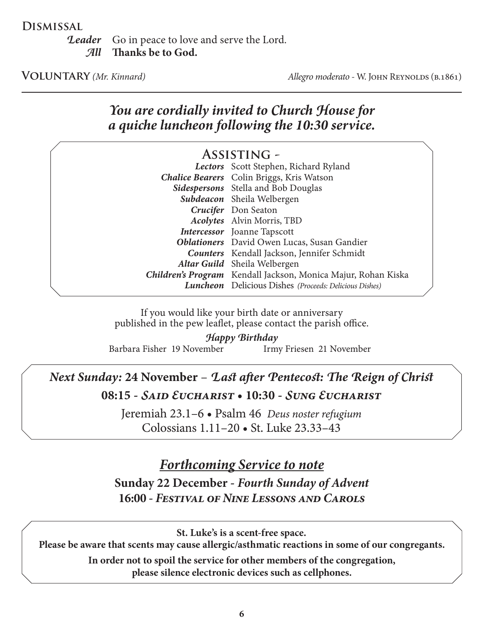**Leader** Go in peace to love and serve the Lord. *All* **Thanks be to God.**

**VOLUNTARY** (Mr. Kinnard) *Allegro moderato - W. JOHN REYNOLDS* (B.1861)

# *You are cordially invited to Church House for a quiche luncheon following the 10:30 service.*

| ASSISTING - |                                                               |
|-------------|---------------------------------------------------------------|
|             | Lectors Scott Stephen, Richard Ryland                         |
|             | <b>Chalice Bearers</b> Colin Briggs, Kris Watson              |
|             | Sidespersons Stella and Bob Douglas                           |
|             | Subdeacon Sheila Welbergen                                    |
|             | Crucifer Don Seaton                                           |
|             | <b>Acolytes</b> Alvin Morris, TBD                             |
|             | Intercessor Joanne Tapscott                                   |
|             | <b>Oblationers</b> David Owen Lucas, Susan Gandier            |
|             | <b>Counters</b> Kendall Jackson, Jennifer Schmidt             |
|             | Altar Guild Sheila Welbergen                                  |
|             | Children's Program Kendall Jackson, Monica Majur, Rohan Kiska |
|             | <b>Luncheon</b> Delicious Dishes (Proceeds: Delicious Dishes) |

If you would like your birth date or anniversary published in the pew leaflet, please contact the parish office.

*Happy Birthday*<br>Barbara Fisher 19 November Irm Irmy Friesen 21 November

# *Next Sunday:* **24 November** – *Last after Pentecost: The Reign of Christ* **08:15 -** *Said Eucharist* **• 10:30 -** *Sung Eucharist*

Jeremiah 23.1–6 • Psalm 46 *Deus noster refugium* Colossians 1.11–20 • St. Luke 23.33–43

*Forthcoming Service to note*

**Sunday 22 December -** *Fourth Sunday of Advent* **16:00 -** *Festival of Nine Lessons and Carols*

**St. Luke's is a scent-free space.**

**Please be aware that scents may cause allergic/asthmatic reactions in some of our congregants.**

**In order not to spoil the service for other members of the congregation, please silence electronic devices such as cellphones.**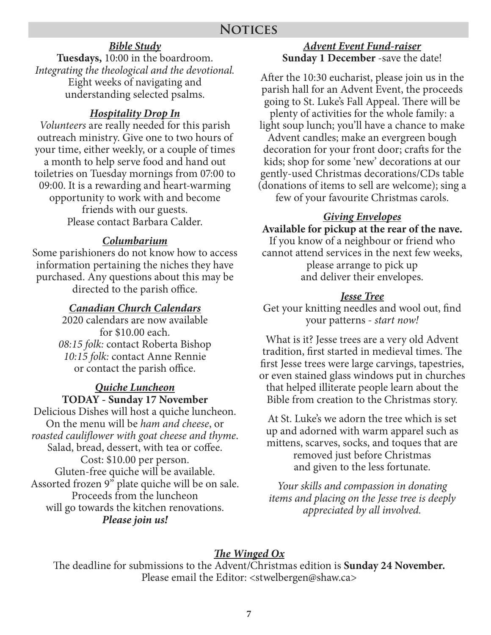## **Notices**

## *Bible Study*

**Tuesdays,** 10:00 in the boardroom. *Integrating the theological and the devotional.* Eight weeks of navigating and understanding selected psalms.

## *Hospitality Drop In*

*Volunteers* are really needed for this parish outreach ministry. Give one to two hours of your time, either weekly, or a couple of times a month to help serve food and hand out toiletries on Tuesday mornings from 07:00 to 09:00. It is a rewarding and heart-warming opportunity to work with and become friends with our guests. Please contact Barbara Calder.

## *Columbarium*

Some parishioners do not know how to access information pertaining the niches they have purchased. Any questions about this may be directed to the parish office.

#### *Canadian Church Calendars*

2020 calendars are now available for \$10.00 each. *08:15 folk:* contact Roberta Bishop *10:15 folk:* contact Anne Rennie or contact the parish office.

#### *Quiche Luncheon* **TODAY - Sunday 17 November**

Delicious Dishes will host a quiche luncheon. On the menu will be *ham and cheese*, or *roasted cauliflower with goat cheese and thyme*. Salad, bread, dessert, with tea or coffee. Cost: \$10.00 per person. Gluten-free quiche will be available. Assorted frozen 9" plate quiche will be on sale. Proceeds from the luncheon will go towards the kitchen renovations. *Please join us!*

#### *Advent Event Fund-raiser* **Sunday 1 December** -save the date!

After the 10:30 eucharist, please join us in the parish hall for an Advent Event, the proceeds going to St. Luke's Fall Appeal. There will be plenty of activities for the whole family: a light soup lunch; you'll have a chance to make Advent candles; make an evergreen bough decoration for your front door; crafts for the kids; shop for some 'new' decorations at our gently-used Christmas decorations/CDs table (donations of items to sell are welcome); sing a few of your favourite Christmas carols.

## *Giving Envelopes*

## **Available for pickup at the rear of the nave.**

If you know of a neighbour or friend who cannot attend services in the next few weeks, please arrange to pick up and deliver their envelopes.

## *Jesse Tree*

Get your knitting needles and wool out, find your patterns - *start now!*

What is it? Jesse trees are a very old Advent tradition, first started in medieval times. The first Jesse trees were large carvings, tapestries, or even stained glass windows put in churches that helped illiterate people learn about the Bible from creation to the Christmas story.

At St. Luke's we adorn the tree which is set up and adorned with warm apparel such as mittens, scarves, socks, and toques that are removed just before Christmas and given to the less fortunate.

*Your skills and compassion in donating items and placing on the Jesse tree is deeply appreciated by all involved.*

## *The Winged Ox*

The deadline for submissions to the Advent/Christmas edition is **Sunday 24 November.** Please email the Editor: <stwelbergen@shaw.ca>